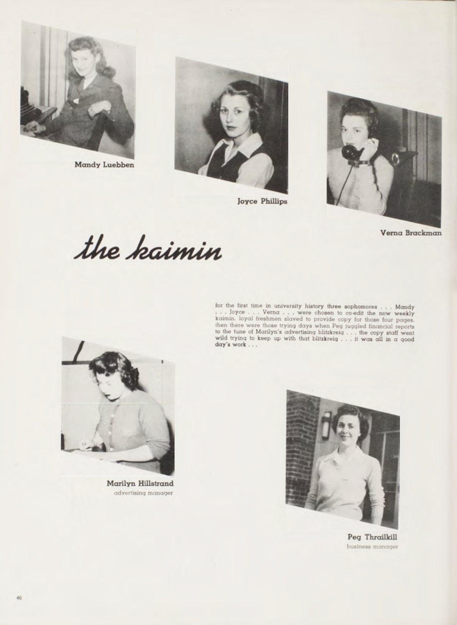

Mandy Luebben



**Joyce Phillips** 



Verna Brackman

the kaimin

for the first time in university history three sophomores . . . Mondy . . . Joyce . . . Verna . . . were chosen to co-edit the now weekly koinin. loyal freehane sloved to provide copy for those four pages then there were



Marilyn Hillstrand advertising manager



Peg Thrailkill business manager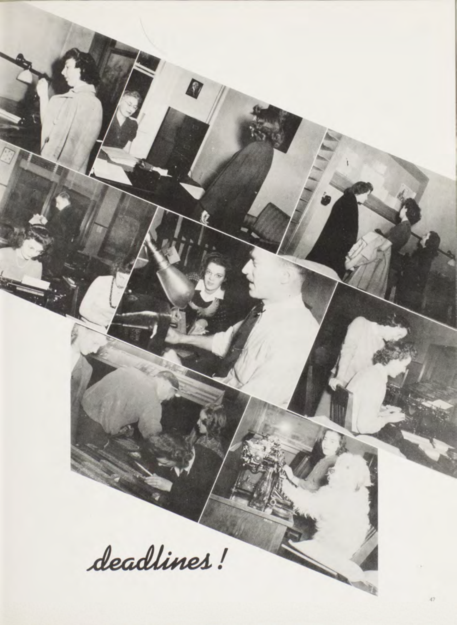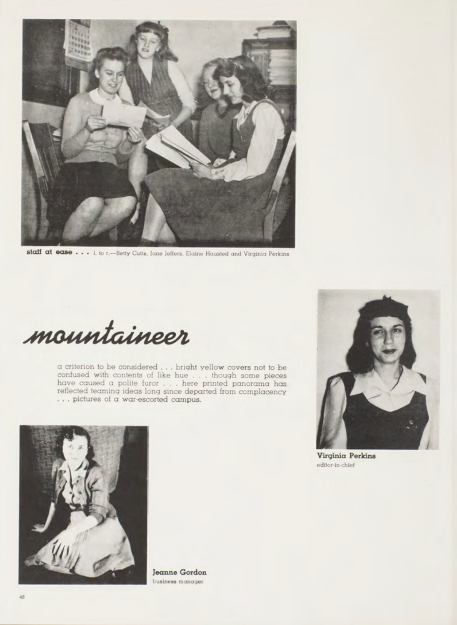

staff at ease . . . I. to r. -- Betty Cutts, Jane Jeffers, Elaine Hausted and Virginia Perkins

mountaineer

 $\alpha$  criterion to be considered . . . bright yellow covers not to be confused with contents of like hue . . . though some pieces have caused a polite furor . . . here printed panorama has reflected teaming ideas long since departed from complacency ... pictures of a war-escorted campus.



Jeanne Gordon business manager



Virginia Perkins editor-in-chief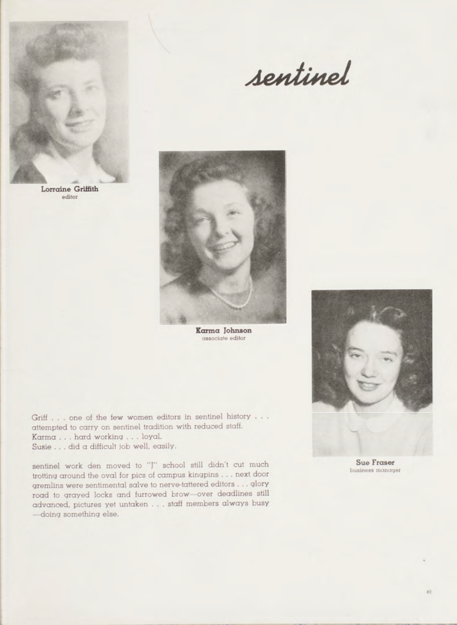

*A& tttirvel*



Karma Johnson associate editor

Griff . . . one of the few women editors in sentinel history . . . attempted to carry on sentinel tradition with reduced staff. Karma . . . hard working . . . loyal. Susie . . . did a difficult job well, easily.

sentinel work den moved to "J" school still didn't cut much trotting around the oval for pics of campus kingpins . . . next door grem lins were sentimental salve to nerve-tattered editors . . . glory road to grayed locks and furrowed brow-over deadlines still advanced, pictures yet untaken . . . staff members always busy -doing something else.



business manager